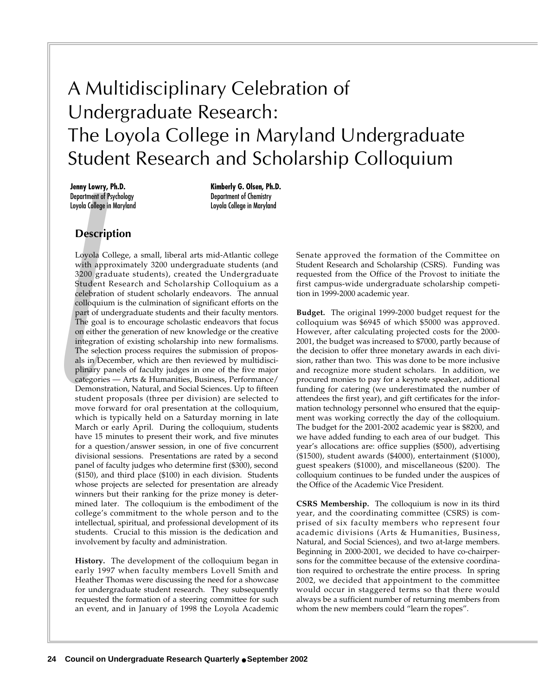## A Multidisciplinary Celebration of Undergraduate Research: The Loyola College in Maryland Undergraduate Student Research and Scholarship Colloquium

**Jenny Lowry, Ph.D.** Department of Psychology Loyola College in Maryland

**Kimberly G. Olsen, Ph.D.** Department of Chemistry Loyola College in Maryland

## **Description**

Studen<br>celebrat<br>colloqui<br>part of 1<br>The goa<br>on eithe integrat<br>The sele<br>als in D<br>plinary<br>categori<br>Demons<br>student<br>move fo Loyola College, a small, liberal arts mid-Atlantic college with approximately 3200 undergraduate students (and 3200 graduate students), created the Undergraduate Student Research and Scholarship Colloquium as a celebration of student scholarly endeavors. The annual colloquium is the culmination of significant efforts on the part of undergraduate students and their faculty mentors. The goal is to encourage scholastic endeavors that focus on either the generation of new knowledge or the creative integration of existing scholarship into new formalisms. The selection process requires the submission of proposals in December, which are then reviewed by multidisciplinary panels of faculty judges in one of the five major categories — Arts & Humanities, Business, Performance/ Demonstration, Natural, and Social Sciences. Up to fifteen student proposals (three per division) are selected to move forward for oral presentation at the colloquium, which is typically held on a Saturday morning in late March or early April. During the colloquium, students have 15 minutes to present their work, and five minutes for a question/answer session, in one of five concurrent divisional sessions. Presentations are rated by a second panel of faculty judges who determine first (\$300), second (\$150), and third place (\$100) in each division. Students whose projects are selected for presentation are already winners but their ranking for the prize money is determined later. The colloquium is the embodiment of the college's commitment to the whole person and to the intellectual, spiritual, and professional development of its students. Crucial to this mission is the dedication and involvement by faculty and administration.

**History.** The development of the colloquium began in early 1997 when faculty members Lovell Smith and Heather Thomas were discussing the need for a showcase for undergraduate student research. They subsequently requested the formation of a steering committee for such an event, and in January of 1998 the Loyola Academic Senate approved the formation of the Committee on Student Research and Scholarship (CSRS). Funding was requested from the Office of the Provost to initiate the first campus-wide undergraduate scholarship competition in 1999-2000 academic year.

**Budget.** The original 1999-2000 budget request for the colloquium was \$6945 of which \$5000 was approved. However, after calculating projected costs for the 2000- 2001, the budget was increased to \$7000, partly because of the decision to offer three monetary awards in each division, rather than two. This was done to be more inclusive and recognize more student scholars. In addition, we procured monies to pay for a keynote speaker, additional funding for catering (we underestimated the number of attendees the first year), and gift certificates for the information technology personnel who ensured that the equipment was working correctly the day of the colloquium. The budget for the 2001-2002 academic year is \$8200, and we have added funding to each area of our budget. This year's allocations are: office supplies (\$500), advertising (\$1500), student awards (\$4000), entertainment (\$1000), guest speakers (\$1000), and miscellaneous (\$200). The colloquium continues to be funded under the auspices of the Office of the Academic Vice President.

**CSRS Membership.** The colloquium is now in its third year, and the coordinating committee (CSRS) is comprised of six faculty members who represent four academic divisions (Arts & Humanities, Business, Natural, and Social Sciences), and two at-large members. Beginning in 2000-2001, we decided to have co-chairpersons for the committee because of the extensive coordination required to orchestrate the entire process. In spring 2002, we decided that appointment to the committee would occur in staggered terms so that there would always be a sufficient number of returning members from whom the new members could "learn the ropes".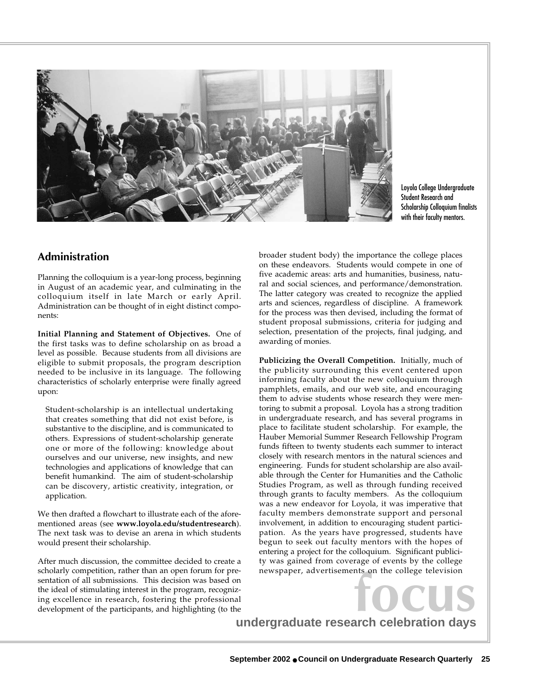

Loyola College Undergraduate Student Research and Scholarship Colloquium finalists with their faculty mentors.

## **Administration**

Planning the colloquium is a year-long process, beginning in August of an academic year, and culminating in the colloquium itself in late March or early April. Administration can be thought of in eight distinct components:

**Initial Planning and Statement of Objectives.** One of the first tasks was to define scholarship on as broad a level as possible. Because students from all divisions are eligible to submit proposals, the program description needed to be inclusive in its language. The following characteristics of scholarly enterprise were finally agreed upon:

Student-scholarship is an intellectual undertaking that creates something that did not exist before, is substantive to the discipline, and is communicated to others. Expressions of student-scholarship generate one or more of the following: knowledge about ourselves and our universe, new insights, and new technologies and applications of knowledge that can benefit humankind. The aim of student-scholarship can be discovery, artistic creativity, integration, or application.

We then drafted a flowchart to illustrate each of the aforementioned areas (see **www.loyola.edu/studentresearch**). The next task was to devise an arena in which students would present their scholarship.

After much discussion, the committee decided to create a scholarly competition, rather than an open forum for presentation of all submissions. This decision was based on the ideal of stimulating interest in the program, recognizing excellence in research, fostering the professional development of the participants, and highlighting (to the broader student body) the importance the college places on these endeavors. Students would compete in one of five academic areas: arts and humanities, business, natural and social sciences, and performance/demonstration. The latter category was created to recognize the applied arts and sciences, regardless of discipline. A framework for the process was then devised, including the format of student proposal submissions, criteria for judging and selection, presentation of the projects, final judging, and awarding of monies.

**Publicizing the Overall Competition.** Initially, much of the publicity surrounding this event centered upon informing faculty about the new colloquium through pamphlets, emails, and our web site, and encouraging them to advise students whose research they were mentoring to submit a proposal. Loyola has a strong tradition in undergraduate research, and has several programs in place to facilitate student scholarship. For example, the Hauber Memorial Summer Research Fellowship Program funds fifteen to twenty students each summer to interact closely with research mentors in the natural sciences and engineering. Funds for student scholarship are also available through the Center for Humanities and the Catholic Studies Program, as well as through funding received through grants to faculty members. As the colloquium was a new endeavor for Loyola, it was imperative that faculty members demonstrate support and personal involvement, in addition to encouraging student participation. As the years have progressed, students have begun to seek out faculty mentors with the hopes of entering a project for the colloquium. Significant publicity was gained from coverage of events by the college newspaper, advertisements on the college television

**focus**<br> **undergraduate research celebration days**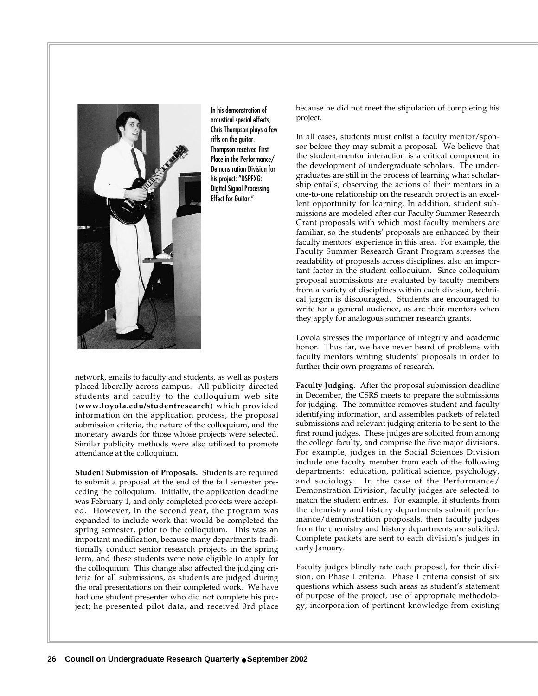

In his demonstration of acoustical special effects, Chris Thompson plays a few riffs on the guitar. Thompson received First Place in the Performance/ Demonstration Division for his project: "DSPFXG: Digital Signal Processing Effect for Guitar."

network, emails to faculty and students, as well as posters placed liberally across campus. All publicity directed students and faculty to the colloquium web site (**www.loyola.edu/studentresearch**) which provided information on the application process, the proposal submission criteria, the nature of the colloquium, and the monetary awards for those whose projects were selected. Similar publicity methods were also utilized to promote attendance at the colloquium.

**Student Submission of Proposals.** Students are required to submit a proposal at the end of the fall semester preceding the colloquium. Initially, the application deadline was February 1, and only completed projects were accepted. However, in the second year, the program was expanded to include work that would be completed the spring semester, prior to the colloquium. This was an important modification, because many departments traditionally conduct senior research projects in the spring term, and these students were now eligible to apply for the colloquium. This change also affected the judging criteria for all submissions, as students are judged during the oral presentations on their completed work. We have had one student presenter who did not complete his project; he presented pilot data, and received 3rd place because he did not meet the stipulation of completing his project.

In all cases, students must enlist a faculty mentor/sponsor before they may submit a proposal. We believe that the student-mentor interaction is a critical component in the development of undergraduate scholars. The undergraduates are still in the process of learning what scholarship entails; observing the actions of their mentors in a one-to-one relationship on the research project is an excellent opportunity for learning. In addition, student submissions are modeled after our Faculty Summer Research Grant proposals with which most faculty members are familiar, so the students' proposals are enhanced by their faculty mentors' experience in this area. For example, the Faculty Summer Research Grant Program stresses the readability of proposals across disciplines, also an important factor in the student colloquium. Since colloquium proposal submissions are evaluated by faculty members from a variety of disciplines within each division, technical jargon is discouraged. Students are encouraged to write for a general audience, as are their mentors when they apply for analogous summer research grants.

Loyola stresses the importance of integrity and academic honor. Thus far, we have never heard of problems with faculty mentors writing students' proposals in order to further their own programs of research.

**Faculty Judging.** After the proposal submission deadline in December, the CSRS meets to prepare the submissions for judging. The committee removes student and faculty identifying information, and assembles packets of related submissions and relevant judging criteria to be sent to the first round judges. These judges are solicited from among the college faculty, and comprise the five major divisions. For example, judges in the Social Sciences Division include one faculty member from each of the following departments: education, political science, psychology, and sociology. In the case of the Performance/ Demonstration Division, faculty judges are selected to match the student entries. For example, if students from the chemistry and history departments submit performance/demonstration proposals, then faculty judges from the chemistry and history departments are solicited. Complete packets are sent to each division's judges in early January.

Faculty judges blindly rate each proposal, for their division, on Phase I criteria. Phase I criteria consist of six questions which assess such areas as student's statement of purpose of the project, use of appropriate methodology, incorporation of pertinent knowledge from existing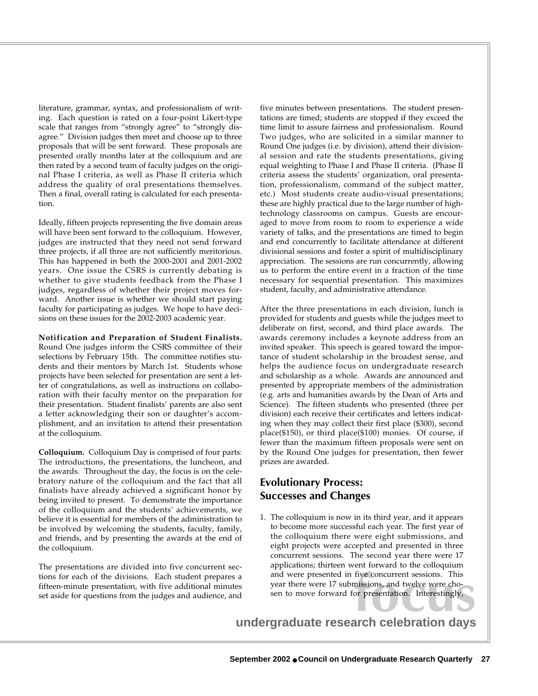literature, grammar, syntax, and professionalism of writing. Each question is rated on a four-point Likert-type scale that ranges from "strongly agree" to "strongly disagree." Division judges then meet and choose up to three proposals that will be sent forward. These proposals are presented orally months later at the colloquium and are then rated by a second team of faculty judges on the original Phase I criteria, as well as Phase II criteria which address the quality of oral presentations themselves. Then a final, overall rating is calculated for each presentation.

Ideally, fifteen projects representing the five domain areas will have been sent forward to the colloquium. However, judges are instructed that they need not send forward three projects, if all three are not sufficiently meritorious. This has happened in both the 2000-2001 and 2001-2002 years. One issue the CSRS is currently debating is whether to give students feedback from the Phase I judges, regardless of whether their project moves forward. Another issue is whether we should start paying faculty for participating as judges. We hope to have decisions on these issues for the 2002-2003 academic year.

**Notification and Preparation of Student Finalists.** Round One judges inform the CSRS committee of their selections by February 15th. The committee notifies students and their mentors by March 1st. Students whose projects have been selected for presentation are sent a letter of congratulations, as well as instructions on collaboration with their faculty mentor on the preparation for their presentation. Student finalists' parents are also sent a letter acknowledging their son or daughter's accomplishment, and an invitation to attend their presentation at the colloquium.

**Colloquium.** Colloquium Day is comprised of four parts: The introductions, the presentations, the luncheon, and the awards. Throughout the day, the focus is on the celebratory nature of the colloquium and the fact that all finalists have already achieved a significant honor by being invited to present. To demonstrate the importance of the colloquium and the students' achievements, we believe it is essential for members of the administration to be involved by welcoming the students, faculty, family, and friends, and by presenting the awards at the end of the colloquium.

The presentations are divided into five concurrent sections for each of the divisions. Each student prepares a fifteen-minute presentation, with five additional minutes set aside for questions from the judges and audience, and five minutes between presentations. The student presentations are timed; students are stopped if they exceed the time limit to assure fairness and professionalism. Round Two judges, who are solicited in a similar manner to Round One judges (i.e. by division), attend their divisional session and rate the students presentations, giving equal weighting to Phase I and Phase II criteria. (Phase II criteria assess the students' organization, oral presentation, professionalism, command of the subject matter, etc.) Most students create audio-visual presentations; these are highly practical due to the large number of hightechnology classrooms on campus. Guests are encouraged to move from room to room to experience a wide variety of talks, and the presentations are timed to begin and end concurrently to facilitate attendance at different divisional sessions and foster a spirit of multidisciplinary appreciation. The sessions are run concurrently, allowing us to perform the entire event in a fraction of the time necessary for sequential presentation. This maximizes student, faculty, and administrative attendance.

After the three presentations in each division, lunch is provided for students and guests while the judges meet to deliberate on first, second, and third place awards. The awards ceremony includes a keynote address from an invited speaker. This speech is geared toward the importance of student scholarship in the broadest sense, and helps the audience focus on undergraduate research and scholarship as a whole. Awards are announced and presented by appropriate members of the administration (e.g. arts and humanities awards by the Dean of Arts and Science). The fifteen students who presented (three per division) each receive their certificates and letters indicating when they may collect their first place (\$300), second place(\$150), or third place(\$100) monies. Of course, if fewer than the maximum fifteen proposals were sent on by the Round One judges for presentation, then fewer prizes are awarded.

## **Evolutionary Process: Successes and Changes**

five concurrent sessions. This<br>missions, and twelve were cho-<br>or presentation. Interestingly,<br>**arch celebration davs** 1. The colloquium is now in its third year, and it appears to become more successful each year. The first year of the colloquium there were eight submissions, and eight projects were accepted and presented in three concurrent sessions. The second year there were 17 applications; thirteen went forward to the colloquium and were presented in five concurrent sessions. This year there were 17 submissions, and twelve were chosen to move forward for presentation. Interestingly,

**undergraduate research celebration days**